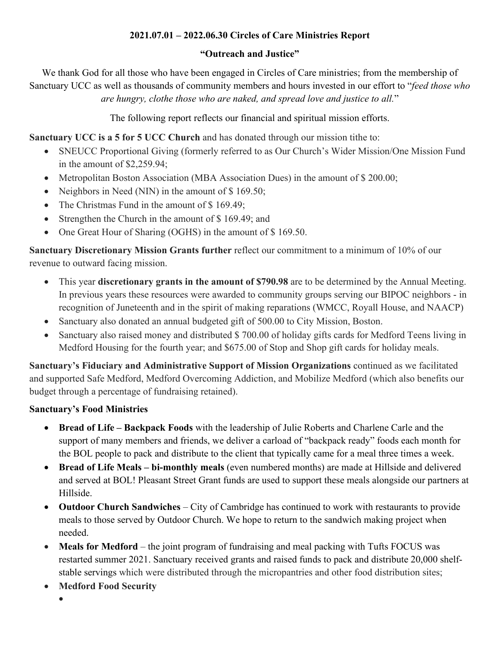## **2021.07.01 – 2022.06.30 Circles of Care Ministries Report**

## **"Outreach and Justice"**

We thank God for all those who have been engaged in Circles of Care ministries; from the membership of Sanctuary UCC as well as thousands of community members and hours invested in our effort to "*feed those who are hungry, clothe those who are naked, and spread love and justice to all.*"

The following report reflects our financial and spiritual mission efforts.

**Sanctuary UCC is a 5 for 5 UCC Church** and has donated through our mission tithe to:

- SNEUCC Proportional Giving (formerly referred to as Our Church's Wider Mission/One Mission Fund in the amount of \$2,259.94;
- Metropolitan Boston Association (MBA Association Dues) in the amount of \$200.00;
- Neighbors in Need (NIN) in the amount of \$169.50;
- The Christmas Fund in the amount of \$169.49;
- Strengthen the Church in the amount of \$169.49; and
- One Great Hour of Sharing (OGHS) in the amount of \$169.50.

**Sanctuary Discretionary Mission Grants further** reflect our commitment to a minimum of 10% of our revenue to outward facing mission.

- This year **discretionary grants in the amount of \$790.98** are to be determined by the Annual Meeting. In previous years these resources were awarded to community groups serving our BIPOC neighbors - in recognition of Juneteenth and in the spirit of making reparations (WMCC, Royall House, and NAACP)
- Sanctuary also donated an annual budgeted gift of 500.00 to City Mission, Boston.
- Sanctuary also raised money and distributed \$700.00 of holiday gifts cards for Medford Teens living in Medford Housing for the fourth year; and \$675.00 of Stop and Shop gift cards for holiday meals.

**Sanctuary's Fiduciary and Administrative Support of Mission Organizations** continued as we facilitated and supported Safe Medford, Medford Overcoming Addiction, and Mobilize Medford (which also benefits our budget through a percentage of fundraising retained).

## **Sanctuary's Food Ministries**

- **Bread of Life – Backpack Foods** with the leadership of Julie Roberts and Charlene Carle and the support of many members and friends, we deliver a carload of "backpack ready" foods each month for the BOL people to pack and distribute to the client that typically came for a meal three times a week.
- **Bread of Life Meals – bi-monthly meals** (even numbered months) are made at Hillside and delivered and served at BOL! Pleasant Street Grant funds are used to support these meals alongside our partners at Hillside.
- **Outdoor Church Sandwiches** City of Cambridge has continued to work with restaurants to provide meals to those served by Outdoor Church. We hope to return to the sandwich making project when needed.
- Meals for Medford the joint program of fundraising and meal packing with Tufts FOCUS was restarted summer 2021. Sanctuary received grants and raised funds to pack and distribute 20,000 shelfstable servings which were distributed through the micropantries and other food distribution sites;
- **Medford Food Security**
	- •